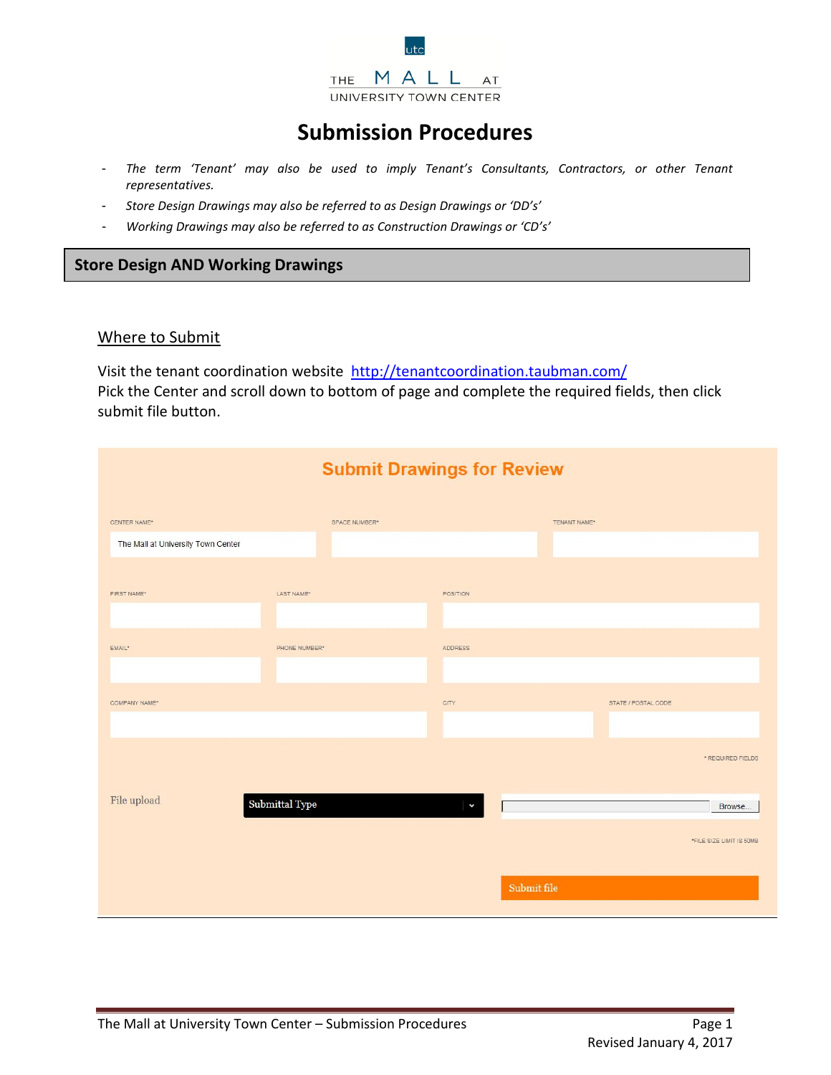

# **Submission Procedures**

- *The term 'Tenant' may also be used to imply Tenant's Consultants, Contractors, or other Tenant representatives.*
- *Store Design Drawings may also be referred to as Design Drawings or 'DD's'*
- *Working Drawings may also be referred to as Construction Drawings or 'CD's'*

# **Store Design AND Working Drawings**

#### Where to Submit

Visit the tenant coordination website<http://tenantcoordination.taubman.com/> Pick the Center and scroll down to bottom of page and complete the required fields, then click submit file button.

| <b>Submit Drawings for Review</b>                  |                |               |                |             |              |                     |                          |
|----------------------------------------------------|----------------|---------------|----------------|-------------|--------------|---------------------|--------------------------|
| CENTER NAME*<br>The Mall at University Town Center |                | SPACE NUMBER* |                |             | TENANT NAME* |                     |                          |
| FIRST NAME*                                        | LAST NAME*     |               | POSITION       |             |              |                     |                          |
| EMAIL*                                             | PHONE NUMBER*  |               | <b>ADDRESS</b> |             |              |                     |                          |
| COMPANY NAME*                                      |                |               | <b>CITY</b>    |             |              | STATE / POSTAL CODE |                          |
|                                                    |                |               |                |             |              |                     | * REQUIRED FIELDS        |
| File upload                                        | Submittal Type |               |                |             |              |                     | Browse                   |
|                                                    |                |               |                |             |              |                     | *FILE SIZE LIMIT IS 50MB |
|                                                    |                |               |                | Submit file |              |                     |                          |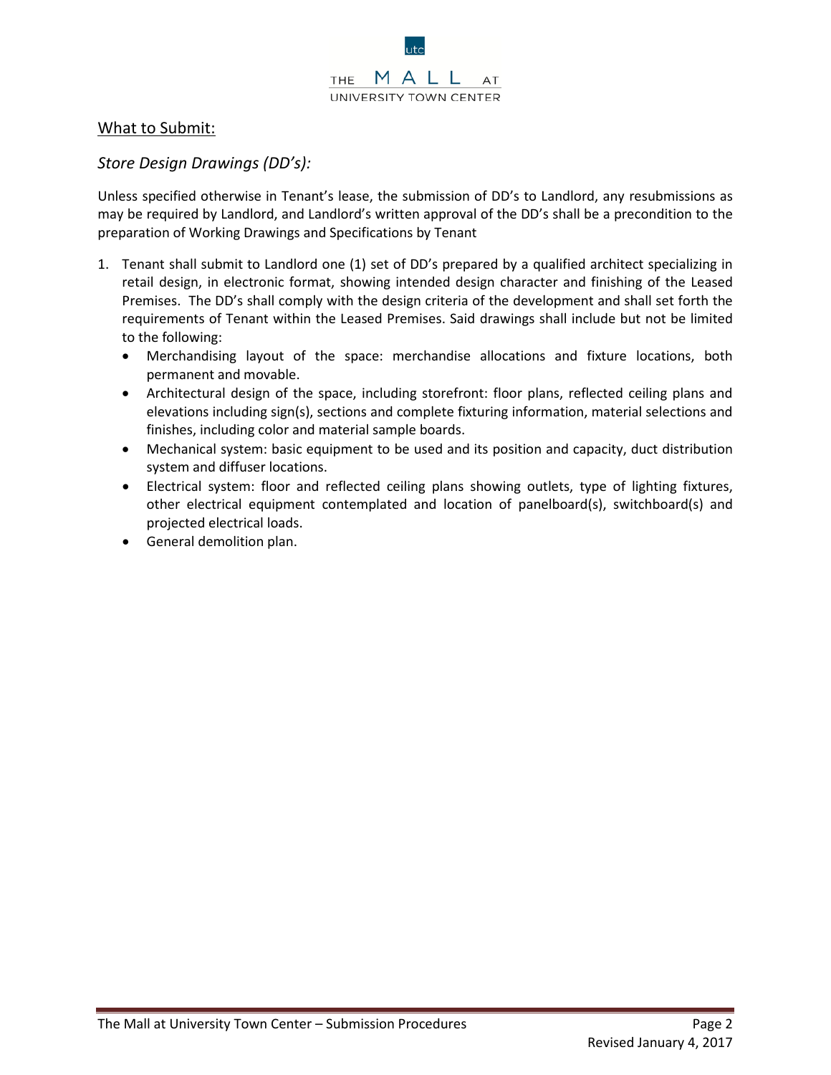

# What to Submit:

# *Store Design Drawings (DD's):*

Unless specified otherwise in Tenant's lease, the submission of DD's to Landlord, any resubmissions as may be required by Landlord, and Landlord's written approval of the DD's shall be a precondition to the preparation of Working Drawings and Specifications by Tenant

- 1. Tenant shall submit to Landlord one (1) set of DD's prepared by a qualified architect specializing in retail design, in electronic format, showing intended design character and finishing of the Leased Premises. The DD's shall comply with the design criteria of the development and shall set forth the requirements of Tenant within the Leased Premises. Said drawings shall include but not be limited to the following:
	- Merchandising layout of the space: merchandise allocations and fixture locations, both permanent and movable.
	- Architectural design of the space, including storefront: floor plans, reflected ceiling plans and elevations including sign(s), sections and complete fixturing information, material selections and finishes, including color and material sample boards.
	- Mechanical system: basic equipment to be used and its position and capacity, duct distribution system and diffuser locations.
	- Electrical system: floor and reflected ceiling plans showing outlets, type of lighting fixtures, other electrical equipment contemplated and location of panelboard(s), switchboard(s) and projected electrical loads.
	- General demolition plan.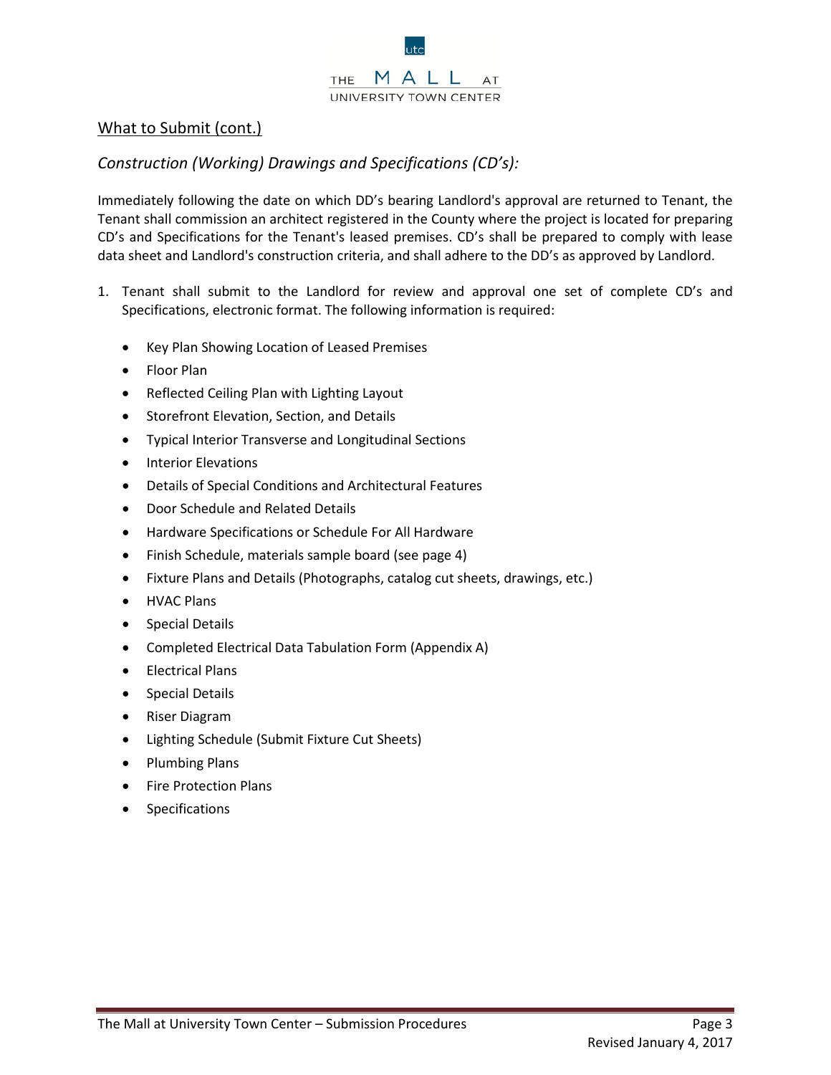

# What to Submit (cont.)

# *Construction (Working) Drawings and Specifications (CD's):*

Immediately following the date on which DD's bearing Landlord's approval are returned to Tenant, the Tenant shall commission an architect registered in the County where the project is located for preparing CD's and Specifications for the Tenant's leased premises. CD's shall be prepared to comply with lease data sheet and Landlord's construction criteria, and shall adhere to the DD's as approved by Landlord.

- 1. Tenant shall submit to the Landlord for review and approval one set of complete CD's and Specifications, electronic format. The following information is required:
	- Key Plan Showing Location of Leased Premises
	- Floor Plan
	- Reflected Ceiling Plan with Lighting Layout
	- Storefront Elevation, Section, and Details
	- Typical Interior Transverse and Longitudinal Sections
	- Interior Elevations
	- Details of Special Conditions and Architectural Features
	- Door Schedule and Related Details
	- Hardware Specifications or Schedule For All Hardware
	- Finish Schedule, materials sample board (see page 4)
	- Fixture Plans and Details (Photographs, catalog cut sheets, drawings, etc.)
	- HVAC Plans
	- Special Details
	- Completed Electrical Data Tabulation Form (Appendix A)
	- Electrical Plans
	- Special Details
	- Riser Diagram
	- Lighting Schedule (Submit Fixture Cut Sheets)
	- Plumbing Plans
	- Fire Protection Plans
	- **Specifications**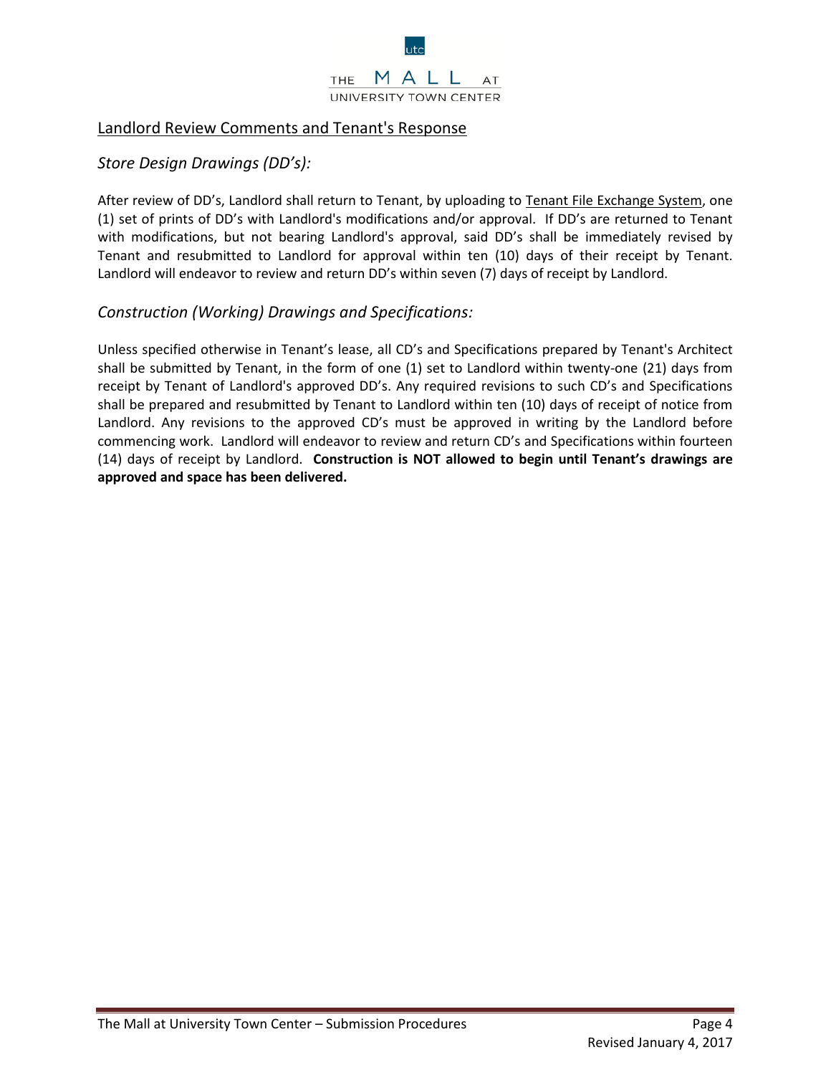

# Landlord Review Comments and Tenant's Response

#### *Store Design Drawings (DD's):*

After review of DD's, Landlord shall return to Tenant, by uploading to Tenant File Exchange System, one (1) set of prints of DD's with Landlord's modifications and/or approval. If DD's are returned to Tenant with modifications, but not bearing Landlord's approval, said DD's shall be immediately revised by Tenant and resubmitted to Landlord for approval within ten (10) days of their receipt by Tenant. Landlord will endeavor to review and return DD's within seven (7) days of receipt by Landlord.

#### *Construction (Working) Drawings and Specifications:*

Unless specified otherwise in Tenant's lease, all CD's and Specifications prepared by Tenant's Architect shall be submitted by Tenant, in the form of one (1) set to Landlord within twenty-one (21) days from receipt by Tenant of Landlord's approved DD's. Any required revisions to such CD's and Specifications shall be prepared and resubmitted by Tenant to Landlord within ten (10) days of receipt of notice from Landlord. Any revisions to the approved CD's must be approved in writing by the Landlord before commencing work. Landlord will endeavor to review and return CD's and Specifications within fourteen (14) days of receipt by Landlord. **Construction is NOT allowed to begin until Tenant's drawings are approved and space has been delivered.**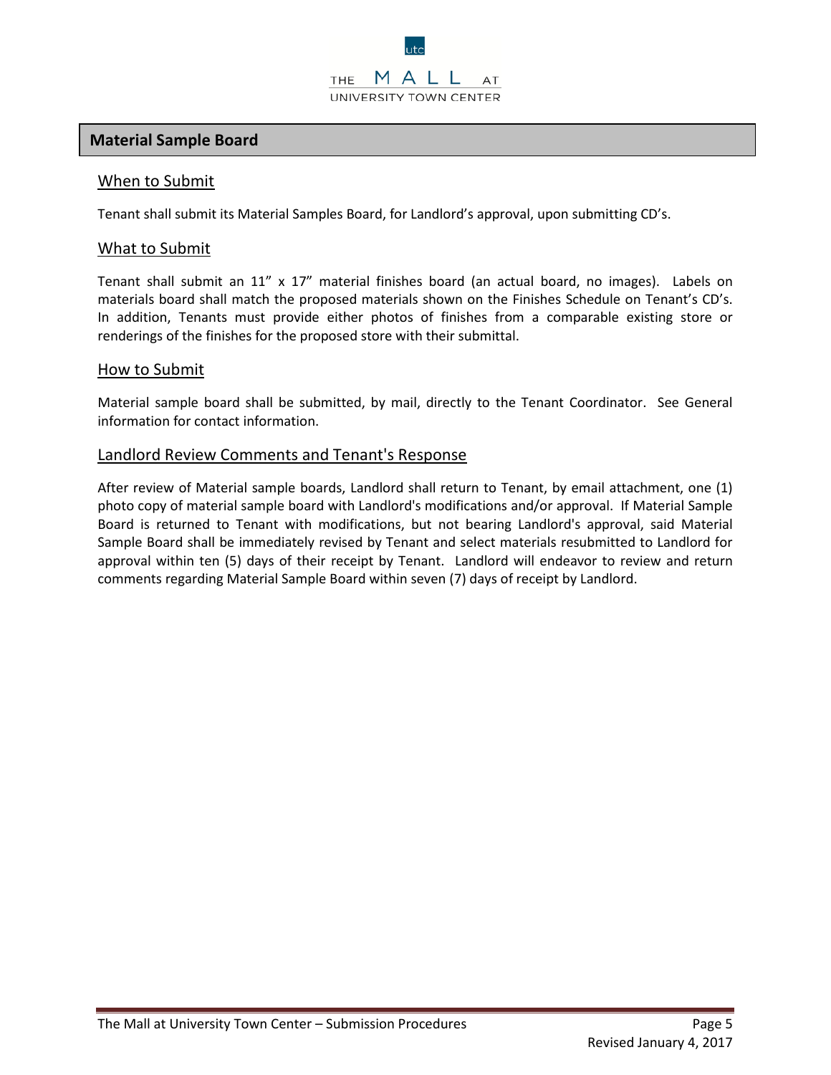# **Material Sample Board**

#### When to Submit

Tenant shall submit its Material Samples Board, for Landlord's approval, upon submitting CD's.

#### What to Submit

Tenant shall submit an 11" x 17" material finishes board (an actual board, no images). Labels on materials board shall match the proposed materials shown on the Finishes Schedule on Tenant's CD's. In addition, Tenants must provide either photos of finishes from a comparable existing store or renderings of the finishes for the proposed store with their submittal.

#### How to Submit

Material sample board shall be submitted, by mail, directly to the Tenant Coordinator. See General information for contact information.

#### Landlord Review Comments and Tenant's Response

After review of Material sample boards, Landlord shall return to Tenant, by email attachment, one (1) photo copy of material sample board with Landlord's modifications and/or approval. If Material Sample Board is returned to Tenant with modifications, but not bearing Landlord's approval, said Material Sample Board shall be immediately revised by Tenant and select materials resubmitted to Landlord for approval within ten (5) days of their receipt by Tenant. Landlord will endeavor to review and return comments regarding Material Sample Board within seven (7) days of receipt by Landlord.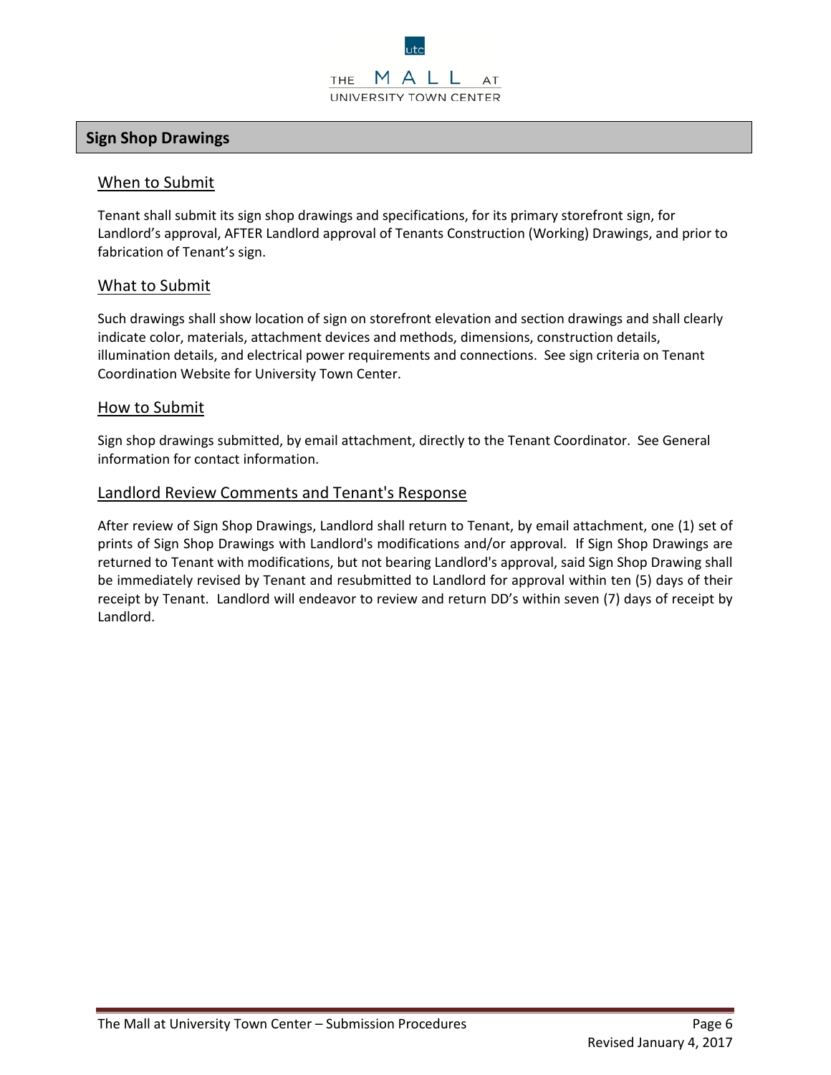# **Sign Shop Drawings**

#### When to Submit

Tenant shall submit its sign shop drawings and specifications, for its primary storefront sign, for Landlord's approval, AFTER Landlord approval of Tenants Construction (Working) Drawings, and prior to fabrication of Tenant's sign.

#### What to Submit

Such drawings shall show location of sign on storefront elevation and section drawings and shall clearly indicate color, materials, attachment devices and methods, dimensions, construction details, illumination details, and electrical power requirements and connections. See sign criteria on Tenant Coordination Website for University Town Center.

#### How to Submit

Sign shop drawings submitted, by email attachment, directly to the Tenant Coordinator. See General information for contact information.

#### Landlord Review Comments and Tenant's Response

After review of Sign Shop Drawings, Landlord shall return to Tenant, by email attachment, one (1) set of prints of Sign Shop Drawings with Landlord's modifications and/or approval. If Sign Shop Drawings are returned to Tenant with modifications, but not bearing Landlord's approval, said Sign Shop Drawing shall be immediately revised by Tenant and resubmitted to Landlord for approval within ten (5) days of their receipt by Tenant. Landlord will endeavor to review and return DD's within seven (7) days of receipt by Landlord.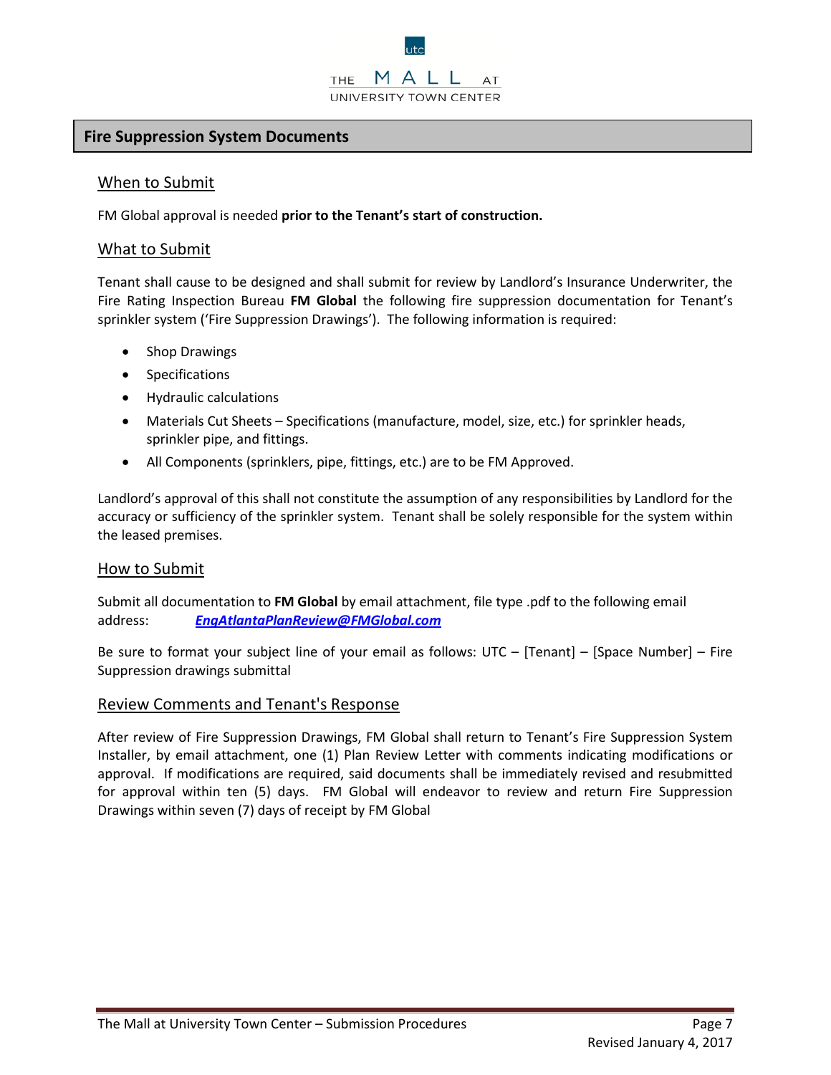#### **Fire Suppression System Documents**

#### When to Submit

FM Global approval is needed **prior to the Tenant's start of construction.**

#### What to Submit

Tenant shall cause to be designed and shall submit for review by Landlord's Insurance Underwriter, the Fire Rating Inspection Bureau **FM Global** the following fire suppression documentation for Tenant's sprinkler system ('Fire Suppression Drawings'). The following information is required:

- Shop Drawings
- Specifications
- Hydraulic calculations
- Materials Cut Sheets Specifications (manufacture, model, size, etc.) for sprinkler heads, sprinkler pipe, and fittings.
- All Components (sprinklers, pipe, fittings, etc.) are to be FM Approved.

Landlord's approval of this shall not constitute the assumption of any responsibilities by Landlord for the accuracy or sufficiency of the sprinkler system. Tenant shall be solely responsible for the system within the leased premises.

#### How to Submit

Submit all documentation to **FM Global** by email attachment, file type .pdf to the following email address: *[EngAtlantaPlanReview@FMGlobal.com](mailto:EngAtlantaPlanReview@FMGlobal.com)*

Be sure to format your subject line of your email as follows: UTC – [Tenant] – [Space Number] – Fire Suppression drawings submittal

#### Review Comments and Tenant's Response

After review of Fire Suppression Drawings, FM Global shall return to Tenant's Fire Suppression System Installer, by email attachment, one (1) Plan Review Letter with comments indicating modifications or approval. If modifications are required, said documents shall be immediately revised and resubmitted for approval within ten (5) days. FM Global will endeavor to review and return Fire Suppression Drawings within seven (7) days of receipt by FM Global